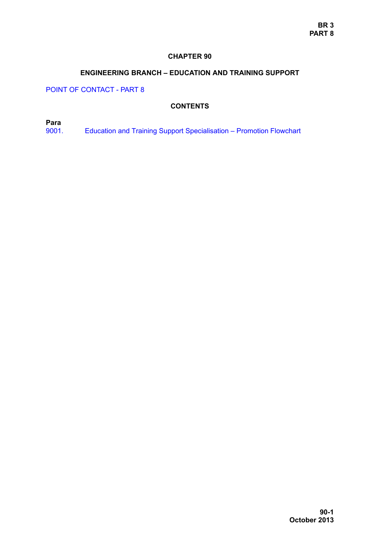### **CHAPTER 90**

## **ENGINEERING BRANCH – EDUCATION AND TRAINING SUPPORT**

POINT OF CONTACT - PART 8

## **CONTENTS**

**Para**

[9001. Education and Training Support Specialisation – Promotion Flowchart](#page-1-0)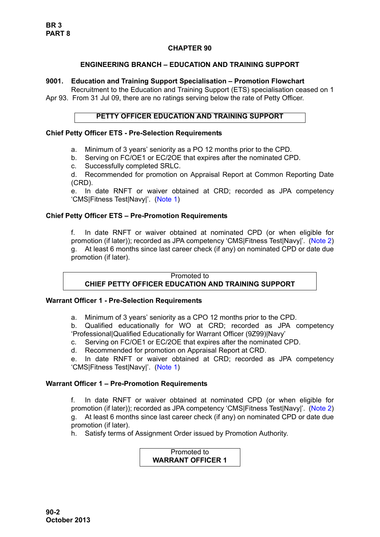## **CHAPTER 90**

## **ENGINEERING BRANCH – EDUCATION AND TRAINING SUPPORT**

#### <span id="page-1-0"></span>**9001. Education and Training Support Specialisation – Promotion Flowchart**

Recruitment to the Education and Training Support (ETS) specialisation ceased on 1 Apr 93. From 31 Jul 09, there are no ratings serving below the rate of Petty Officer.

#### **PETTY OFFICER EDUCATION AND TRAINING SUPPORT**

### **Chief Petty Officer ETS - Pre-Selection Requirements**

- a. Minimum of 3 years' seniority as a PO 12 months prior to the CPD.
- b. Serving on FC/OE1 or EC/2OE that expires after the nominated CPD.
- c. Successfully completed SRLC.

d. Recommended for promotion on Appraisal Report at Common Reporting Date (CRD).

e. In date RNFT or waiver obtained at CRD; recorded as JPA competency 'CMS|Fitness Test|Navy|'. ([Note 1](#page-2-0))

## **Chief Petty Officer ETS – Pre-Promotion Requirements**

f. In date RNFT or waiver obtained at nominated CPD (or when eligible for promotion (if later)); recorded as JPA competency 'CMS|Fitness Test|Navy|'. ([Note 2\)](#page-2-1) g. At least 6 months since last career check (if any) on nominated CPD or date due promotion (if later).

#### Promoted to **CHIEF PETTY OFFICER EDUCATION AND TRAINING SUPPORT**

# **Warrant Officer 1 - Pre-Selection Requirements**

a. Minimum of 3 years' seniority as a CPO 12 months prior to the CPD.

b. Qualified educationally for WO at CRD; recorded as JPA competency 'Professional|Qualified Educationally for Warrant Officer (9Z99)|Navy'

- c. Serving on FC/OE1 or EC/2OE that expires after the nominated CPD.
- d. Recommended for promotion on Appraisal Report at CRD.

e. In date RNFT or waiver obtained at CRD; recorded as JPA competency 'CMS|Fitness Test|Navy|'. ([Note 1](#page-2-0))

#### **Warrant Officer 1 – Pre-Promotion Requirements**

f. In date RNFT or waiver obtained at nominated CPD (or when eligible for promotion (if later)); recorded as JPA competency 'CMS|Fitness Test|Navy|'. ([Note 2\)](#page-2-1) g. At least 6 months since last career check (if any) on nominated CPD or date due promotion (if later).

h. Satisfy terms of Assignment Order issued by Promotion Authority.